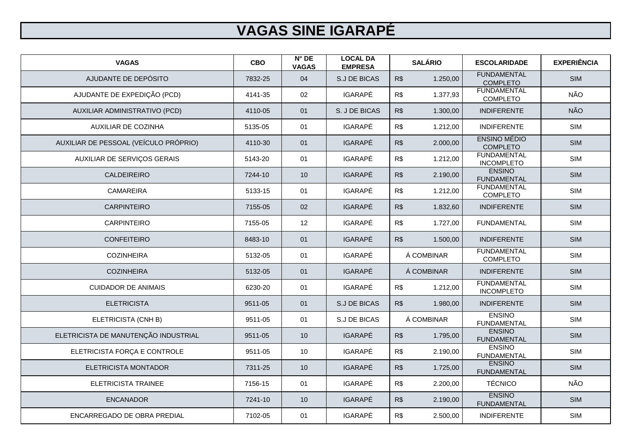| <b>VAGAS</b>                          | <b>CBO</b> | $N^{\circ}$ DE<br><b>VAGAS</b> | <b>LOCAL DA</b><br><b>EMPRESA</b> | <b>SALÁRIO</b> |          | <b>ESCOLARIDADE</b>                     | <b>EXPERIÊNCIA</b> |
|---------------------------------------|------------|--------------------------------|-----------------------------------|----------------|----------|-----------------------------------------|--------------------|
| AJUDANTE DE DEPÓSITO                  | 7832-25    | 04                             | <b>S.J DE BICAS</b>               | R\$            | 1.250,00 | <b>FUNDAMENTAL</b><br><b>COMPLETO</b>   | <b>SIM</b>         |
| AJUDANTE DE EXPEDIÇÃO (PCD)           | 4141-35    | 02                             | <b>IGARAPÉ</b>                    | R\$            | 1.377,93 | <b>FUNDAMENTAL</b><br><b>COMPLETO</b>   | NÃO                |
| AUXILIAR ADMINISTRATIVO (PCD)         | 4110-05    | 01                             | S. J DE BICAS                     | R\$            | 1.300,00 | <b>INDIFERENTE</b>                      | <b>NÃO</b>         |
| <b>AUXILIAR DE COZINHA</b>            | 5135-05    | 01                             | <b>IGARAPÉ</b>                    | R\$            | 1.212,00 | <b>INDIFERENTE</b>                      | <b>SIM</b>         |
| AUXILIAR DE PESSOAL (VEÍCULO PRÓPRIO) | 4110-30    | 01                             | <b>IGARAPÉ</b>                    | R\$            | 2.000,00 | <b>ENSINO MÉDIO</b><br><b>COMPLETO</b>  | <b>SIM</b>         |
| AUXILIAR DE SERVIÇOS GERAIS           | 5143-20    | 01                             | <b>IGARAPÉ</b>                    | R\$            | 1.212,00 | <b>FUNDAMENTAL</b><br><b>INCOMPLETO</b> | <b>SIM</b>         |
| <b>CALDEIREIRO</b>                    | 7244-10    | 10                             | <b>IGARAPÉ</b>                    | R\$            | 2.190,00 | <b>ENSINO</b><br><b>FUNDAMENTAL</b>     | <b>SIM</b>         |
| <b>CAMAREIRA</b>                      | 5133-15    | 01                             | <b>IGARAPÉ</b>                    | R\$            | 1.212,00 | <b>FUNDAMENTAL</b><br><b>COMPLETO</b>   | <b>SIM</b>         |
| <b>CARPINTEIRO</b>                    | 7155-05    | 02                             | <b>IGARAPÉ</b>                    | R\$            | 1.832,60 | <b>INDIFERENTE</b>                      | <b>SIM</b>         |
| <b>CARPINTEIRO</b>                    | 7155-05    | 12                             | <b>IGARAPÉ</b>                    | R\$            | 1.727,00 | <b>FUNDAMENTAL</b>                      | SIM                |
| <b>CONFEITEIRO</b>                    | 8483-10    | 01                             | <b>IGARAPÉ</b>                    | R\$            | 1.500,00 | <b>INDIFERENTE</b>                      | <b>SIM</b>         |
| <b>COZINHEIRA</b>                     | 5132-05    | 01                             | <b>IGARAPÉ</b>                    | Á COMBINAR     |          | <b>FUNDAMENTAL</b><br><b>COMPLETO</b>   | <b>SIM</b>         |
| <b>COZINHEIRA</b>                     | 5132-05    | 01                             | <b>IGARAPÉ</b>                    | Á COMBINAR     |          | <b>INDIFERENTE</b>                      | <b>SIM</b>         |
| <b>CUIDADOR DE ANIMAIS</b>            | 6230-20    | 01                             | <b>IGARAPÉ</b>                    | R\$            | 1.212,00 | <b>FUNDAMENTAL</b><br><b>INCOMPLETO</b> | <b>SIM</b>         |
| <b>ELETRICISTA</b>                    | 9511-05    | 01                             | <b>S.J DE BICAS</b>               | R\$            | 1.980,00 | <b>INDIFERENTE</b>                      | <b>SIM</b>         |
| ELETRICISTA (CNH B)                   | 9511-05    | 01                             | S.J DE BICAS                      | Á COMBINAR     |          | <b>ENSINO</b><br><b>FUNDAMENTAL</b>     | <b>SIM</b>         |
| ELETRICISTA DE MANUTENÇÃO INDUSTRIAL  | 9511-05    | 10                             | <b>IGARAPÉ</b>                    | R\$            | 1.795,00 | <b>ENSINO</b><br><b>FUNDAMENTAL</b>     | <b>SIM</b>         |
| ELETRICISTA FORÇA E CONTROLE          | 9511-05    | 10                             | <b>IGARAPÉ</b>                    | R\$            | 2.190,00 | <b>ENSINO</b><br><b>FUNDAMENTAL</b>     | <b>SIM</b>         |
| <b>ELETRICISTA MONTADOR</b>           | 7311-25    | 10 <sup>°</sup>                | <b>IGARAPÉ</b>                    | R\$            | 1.725,00 | <b>ENSINO</b><br><b>FUNDAMENTAL</b>     | <b>SIM</b>         |
| <b>ELETRICISTA TRAINEE</b>            | 7156-15    | 01                             | <b>IGARAPÉ</b>                    | R\$            | 2.200,00 | <b>TÉCNICO</b>                          | NÃO                |
| <b>ENCANADOR</b>                      | 7241-10    | 10                             | <b>IGARAPÉ</b>                    | R\$            | 2.190,00 | <b>ENSINO</b><br><b>FUNDAMENTAL</b>     | <b>SIM</b>         |
| ENCARREGADO DE OBRA PREDIAL           | 7102-05    | 01                             | IGARAPÉ                           | R\$            | 2.500,00 | <b>INDIFERENTE</b>                      | <b>SIM</b>         |

## **VAGAS SINE IGARAPÉ**